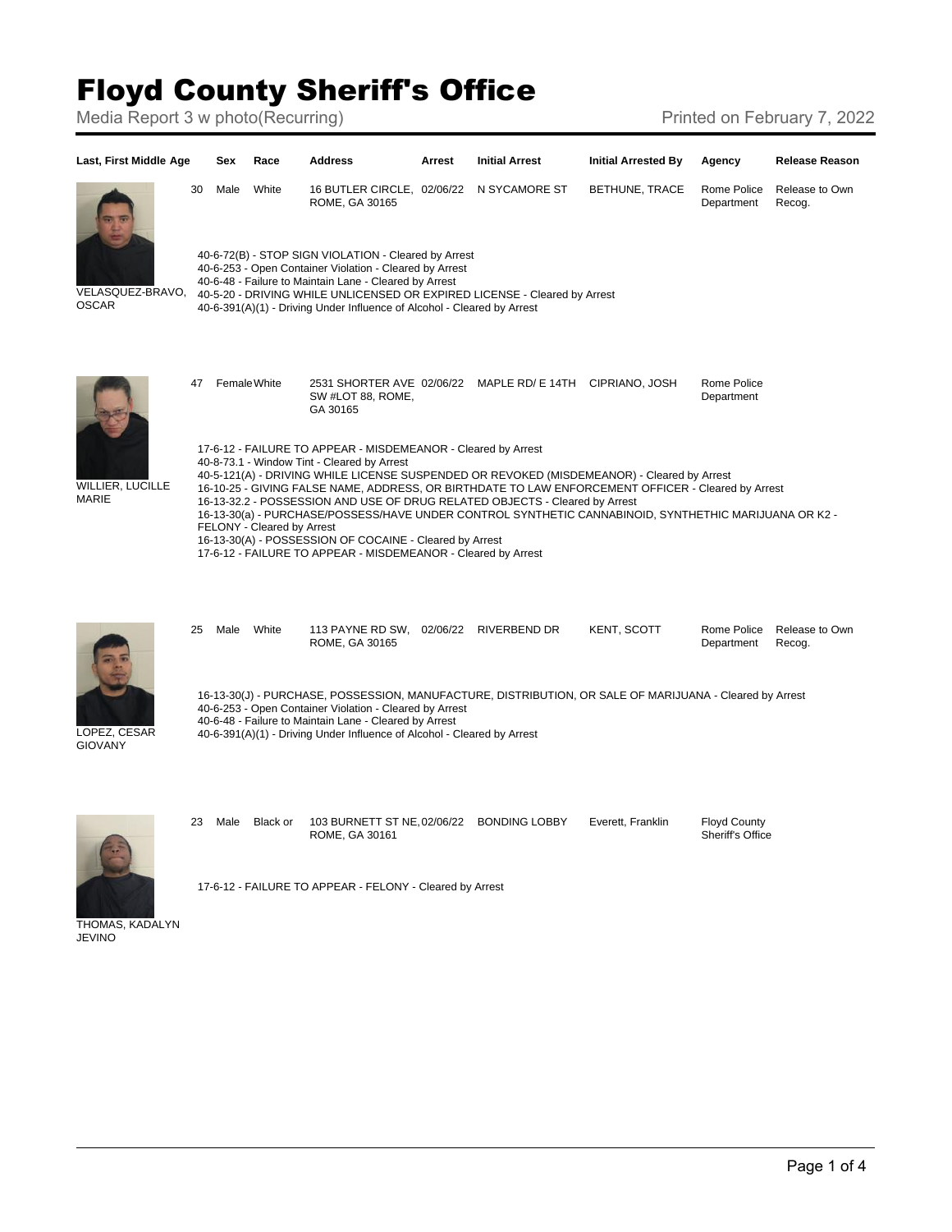## Floyd County Sheriff's Office

Media Report 3 w photo(Recurring) Media Report 3 w photo(Recurring)



THOMAS, KADALYN JEVINO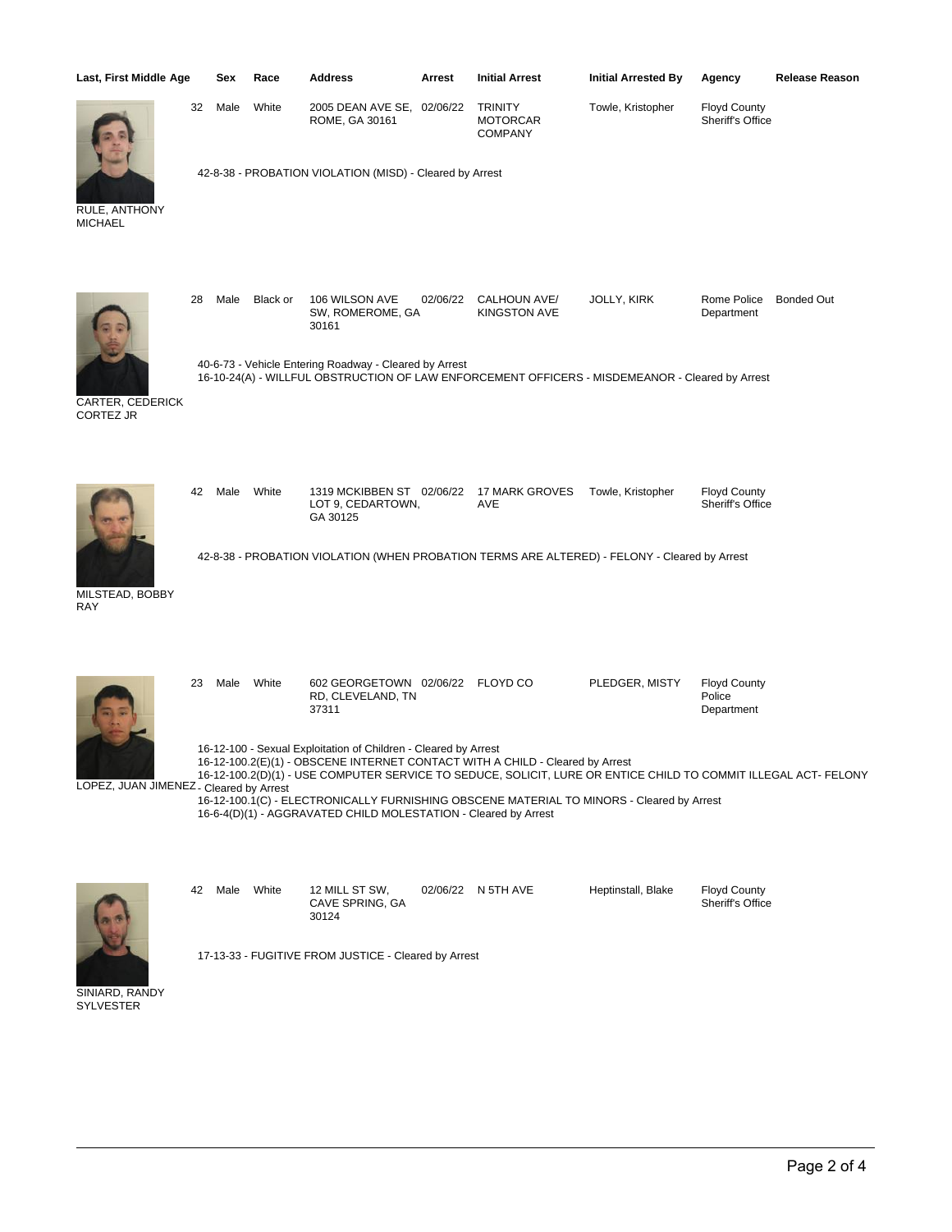| Last, First Middle Age                  |    | Sex  | Race       | Address                                                                                                                            | Arrest   | <b>Initial Arrest</b>                                                                                                                                                      | <b>Initial Arrested By</b> | <b>Release Reason</b><br>Agency                                                                                 |  |
|-----------------------------------------|----|------|------------|------------------------------------------------------------------------------------------------------------------------------------|----------|----------------------------------------------------------------------------------------------------------------------------------------------------------------------------|----------------------------|-----------------------------------------------------------------------------------------------------------------|--|
|                                         | 32 | Male | White      | 2005 DEAN AVE SE, 02/06/22<br>ROME, GA 30161                                                                                       |          | <b>TRINITY</b><br><b>MOTORCAR</b><br><b>COMPANY</b>                                                                                                                        | Towle, Kristopher          | <b>Floyd County</b><br>Sheriff's Office                                                                         |  |
| RULE, ANTHONY<br><b>MICHAEL</b>         |    |      |            | 42-8-38 - PROBATION VIOLATION (MISD) - Cleared by Arrest                                                                           |          |                                                                                                                                                                            |                            |                                                                                                                 |  |
|                                         | 28 | Male | Black or   | 106 WILSON AVE<br>SW, ROMEROME, GA<br>30161                                                                                        | 02/06/22 | CALHOUN AVE/<br><b>KINGSTON AVE</b>                                                                                                                                        | JOLLY, KIRK                | Rome Police<br><b>Bonded Out</b><br>Department                                                                  |  |
| CARTER, CEDERICK<br><b>CORTEZ JR</b>    |    |      |            | 40-6-73 - Vehicle Entering Roadway - Cleared by Arrest                                                                             |          | 16-10-24(A) - WILLFUL OBSTRUCTION OF LAW ENFORCEMENT OFFICERS - MISDEMEANOR - Cleared by Arrest                                                                            |                            |                                                                                                                 |  |
|                                         | 42 | Male | White      | 1319 MCKIBBEN ST 02/06/22<br>LOT 9, CEDARTOWN,<br>GA 30125                                                                         |          | 17 MARK GROVES<br>AVE                                                                                                                                                      | Towle, Kristopher          | <b>Floyd County</b><br>Sheriff's Office                                                                         |  |
| MILSTEAD, BOBBY<br><b>RAY</b>           |    |      |            |                                                                                                                                    |          | 42-8-38 - PROBATION VIOLATION (WHEN PROBATION TERMS ARE ALTERED) - FELONY - Cleared by Arrest                                                                              |                            |                                                                                                                 |  |
|                                         | 23 | Male | White      | 602 GEORGETOWN 02/06/22 FLOYD CO<br>RD, CLEVELAND, TN<br>37311                                                                     |          |                                                                                                                                                                            | PLEDGER, MISTY             | <b>Floyd County</b><br>Police<br>Department                                                                     |  |
| LOPEZ, JUAN JIMENEZ - Cleared by Arrest |    |      |            | 16-12-100 - Sexual Exploitation of Children - Cleared by Arrest<br>16-6-4(D)(1) - AGGRAVATED CHILD MOLESTATION - Cleared by Arrest |          | 16-12-100.2(E)(1) - OBSCENE INTERNET CONTACT WITH A CHILD - Cleared by Arrest<br>16-12-100.1(C) - ELECTRONICALLY FURNISHING OBSCENE MATERIAL TO MINORS - Cleared by Arrest |                            | 16-12-100.2(D)(1) - USE COMPUTER SERVICE TO SEDUCE, SOLICIT, LURE OR ENTICE CHILD TO COMMIT ILLEGAL ACT- FELONY |  |
|                                         | 42 |      | Male White | 12 MILL ST SW,<br>CAVE SPRING, GA                                                                                                  |          | 02/06/22 N 5TH AVE                                                                                                                                                         | Heptinstall, Blake         | <b>Floyd County</b><br>Sheriff's Office                                                                         |  |
|                                         |    |      |            | 30124<br>17-13-33 - FUGITIVE FROM JUSTICE - Cleared by Arrest                                                                      |          |                                                                                                                                                                            |                            |                                                                                                                 |  |

SINIARD, RANDY SYLVESTER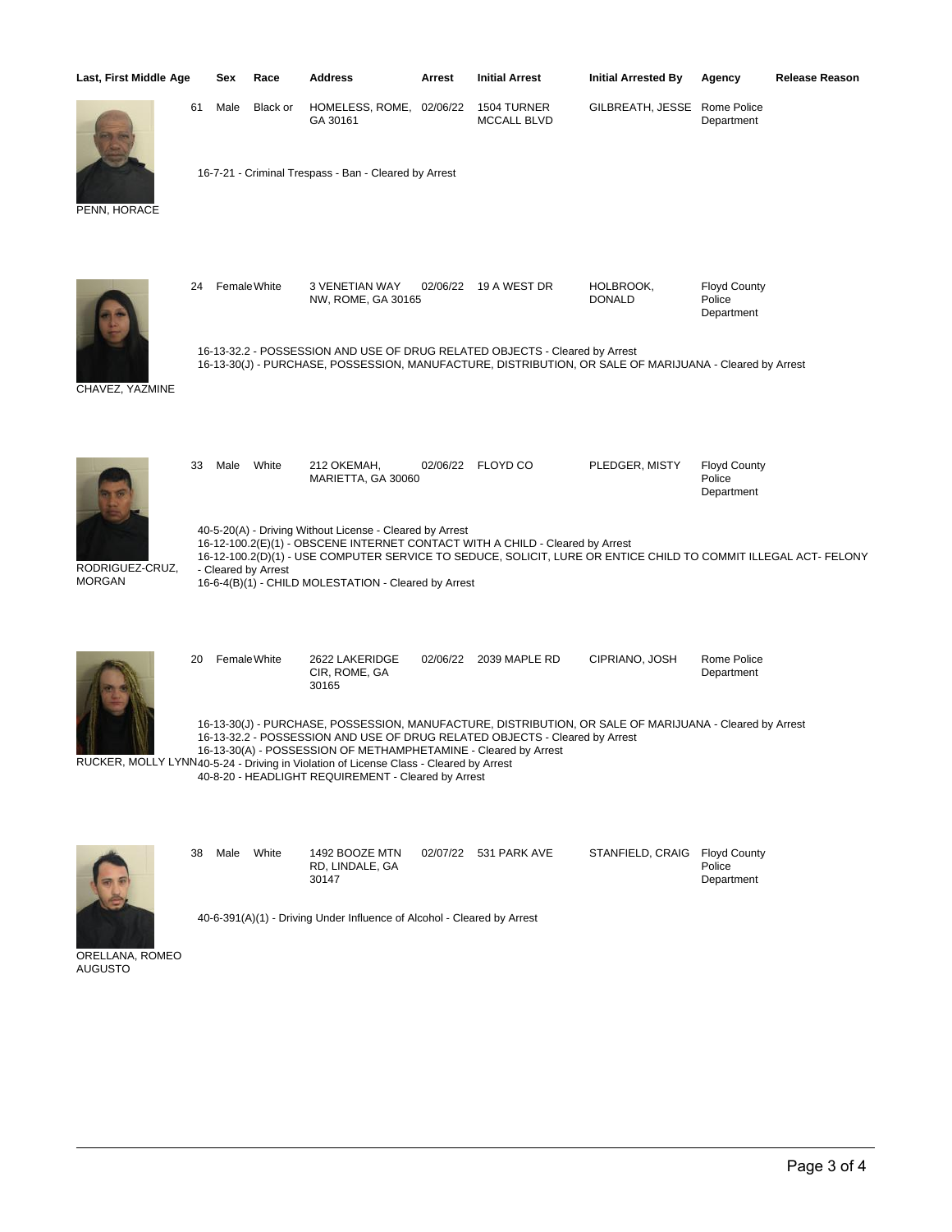| Last, First Middle Age           |                                                                                                                                                                                                                                                                                                                                                                                                           | Sex                                                                                                                                                                                                                                                                                                                                        | Race         | <b>Address</b>                                        | Arrest   | <b>Initial Arrest</b>             | <b>Initial Arrested By</b>   | Agency                                      | Release Reason |  |
|----------------------------------|-----------------------------------------------------------------------------------------------------------------------------------------------------------------------------------------------------------------------------------------------------------------------------------------------------------------------------------------------------------------------------------------------------------|--------------------------------------------------------------------------------------------------------------------------------------------------------------------------------------------------------------------------------------------------------------------------------------------------------------------------------------------|--------------|-------------------------------------------------------|----------|-----------------------------------|------------------------------|---------------------------------------------|----------------|--|
|                                  | 61                                                                                                                                                                                                                                                                                                                                                                                                        | Male                                                                                                                                                                                                                                                                                                                                       | Black or     | HOMELESS, ROME, 02/06/22<br>GA 30161                  |          | 1504 TURNER<br><b>MCCALL BLVD</b> | GILBREATH, JESSE Rome Police | Department                                  |                |  |
| PENN, HORACE                     |                                                                                                                                                                                                                                                                                                                                                                                                           |                                                                                                                                                                                                                                                                                                                                            |              | 16-7-21 - Criminal Trespass - Ban - Cleared by Arrest |          |                                   |                              |                                             |                |  |
| CHAVEZ, YAZMINE                  | 24                                                                                                                                                                                                                                                                                                                                                                                                        |                                                                                                                                                                                                                                                                                                                                            | Female White | 3 VENETIAN WAY<br>NW, ROME, GA 30165                  |          | 02/06/22 19 A WEST DR             | HOLBROOK,<br><b>DONALD</b>   | <b>Floyd County</b><br>Police<br>Department |                |  |
|                                  |                                                                                                                                                                                                                                                                                                                                                                                                           | 16-13-32.2 - POSSESSION AND USE OF DRUG RELATED OBJECTS - Cleared by Arrest<br>16-13-30(J) - PURCHASE, POSSESSION, MANUFACTURE, DISTRIBUTION, OR SALE OF MARIJUANA - Cleared by Arrest                                                                                                                                                     |              |                                                       |          |                                   |                              |                                             |                |  |
| RODRIGUEZ-CRUZ,<br><b>MORGAN</b> | 33                                                                                                                                                                                                                                                                                                                                                                                                        | Male                                                                                                                                                                                                                                                                                                                                       | White        | 212 OKEMAH,<br>MARIETTA, GA 30060                     |          | 02/06/22 FLOYD CO                 | PLEDGER, MISTY               | <b>Floyd County</b><br>Police<br>Department |                |  |
|                                  |                                                                                                                                                                                                                                                                                                                                                                                                           | 40-5-20(A) - Driving Without License - Cleared by Arrest<br>16-12-100.2(E)(1) - OBSCENE INTERNET CONTACT WITH A CHILD - Cleared by Arrest<br>16-12-100.2(D)(1) - USE COMPUTER SERVICE TO SEDUCE, SOLICIT, LURE OR ENTICE CHILD TO COMMIT ILLEGAL ACT-FELONY<br>- Cleared by Arrest<br>16-6-4(B)(1) - CHILD MOLESTATION - Cleared by Arrest |              |                                                       |          |                                   |                              |                                             |                |  |
|                                  | 20                                                                                                                                                                                                                                                                                                                                                                                                        |                                                                                                                                                                                                                                                                                                                                            | Female White | 2622 LAKERIDGE<br>CIR, ROME, GA<br>30165              |          | 02/06/22 2039 MAPLE RD            | CIPRIANO, JOSH               | Rome Police<br>Department                   |                |  |
|                                  | 16-13-30(J) - PURCHASE, POSSESSION, MANUFACTURE, DISTRIBUTION, OR SALE OF MARIJUANA - Cleared by Arrest<br>16-13-32.2 - POSSESSION AND USE OF DRUG RELATED OBJECTS - Cleared by Arrest<br>16-13-30(A) - POSSESSION OF METHAMPHETAMINE - Cleared by Arrest<br>RUCKER, MOLLY LYNN40-5-24 - Driving in Violation of License Class - Cleared by Arrest<br>40-8-20 - HEADLIGHT REQUIREMENT - Cleared by Arrest |                                                                                                                                                                                                                                                                                                                                            |              |                                                       |          |                                   |                              |                                             |                |  |
|                                  | 38                                                                                                                                                                                                                                                                                                                                                                                                        | Male                                                                                                                                                                                                                                                                                                                                       | White        | 1492 BOOZE MTN<br>RD, LINDALE, GA<br>30147            | 02/07/22 | 531 PARK AVE                      | STANFIELD, CRAIG             | <b>Floyd County</b><br>Police<br>Department |                |  |
| $\sim$                           | 40-6-391(A)(1) - Driving Under Influence of Alcohol - Cleared by Arrest                                                                                                                                                                                                                                                                                                                                   |                                                                                                                                                                                                                                                                                                                                            |              |                                                       |          |                                   |                              |                                             |                |  |

ORELLANA, ROMEO AUGUSTO